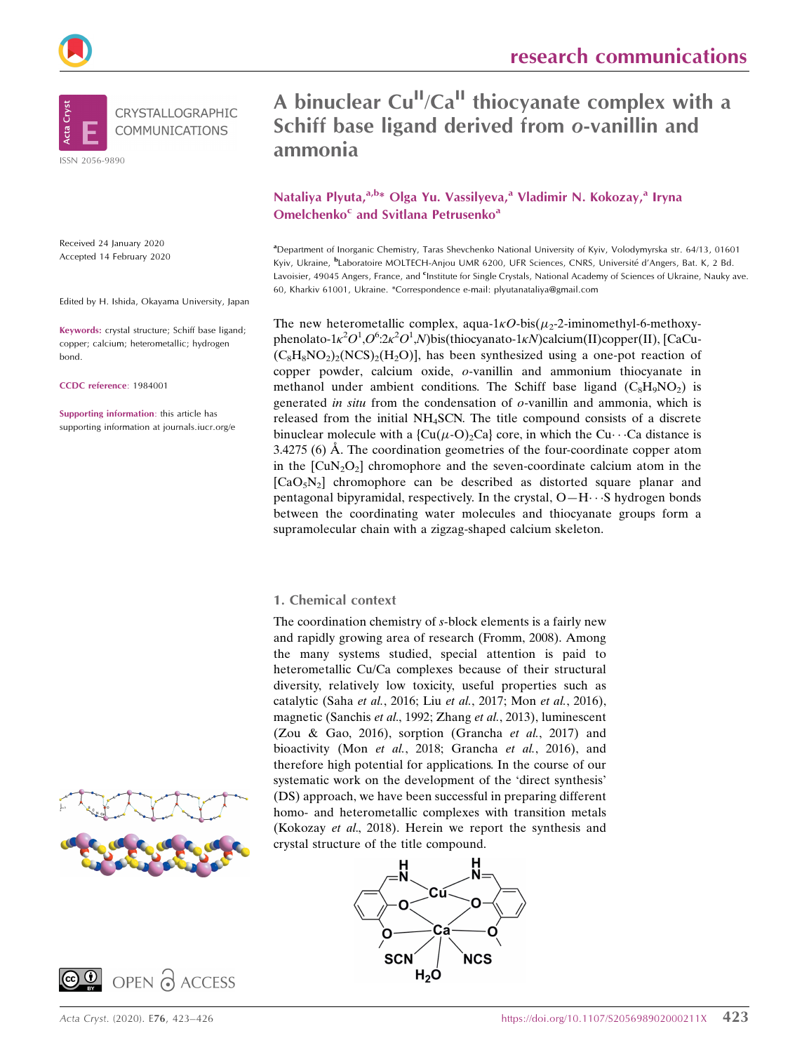



Received 24 January 2020 Accepted 14 February 2020

Edited by H. Ishida, Okayama University, Japan

Keywords: crystal structure; Schiff base ligand; copper; calcium; heterometallic; hydrogen bond.

CCDC reference: 1984001

Supporting information: this article has supporting information at journals.iucr.org/e





Nataliya Plyuta, a,b\* Olga Yu. Vassilyeva, <sup>a</sup> Vladimir N. Kokozay, <sup>a</sup> Iryna Omelchenko<sup>c</sup> and Svitlana Petrusenko<sup>a</sup>

a Department of Inorganic Chemistry, Taras Shevchenko National University of Kyiv, Volodymyrska str. 64/13, 01601 Kyiv, Ukraine, <sup>b</sup>Laboratoire MOLTECH-Anjou UMR 6200, UFR Sciences, CNRS, Université d'Angers, Bat. K, 2 Bd. Lavoisier, 49045 Angers, France, and <sup>c</sup>Institute for Single Crystals, National Academy of Sciences of Ukraine, Nauky ave. 60, Kharkiv 61001, Ukraine. \*Correspondence e-mail: plyutanataliya@gmail.com

The new heterometallic complex, aqua- $1\kappa O$ -bis( $\mu_2$ -2-iminomethyl-6-methoxyphenolato-1 $\kappa^2O^1$ , $O^6$ :2 $\kappa^2O^1$ , $N$ )bis(thiocyanato-1 $\kappa$ N)calcium(II)copper(II), [CaCu- $(C_8H_8NO_2)_2(NCS)_2(H_2O)$ , has been synthesized using a one-pot reaction of copper powder, calcium oxide, o-vanillin and ammonium thiocyanate in methanol under ambient conditions. The Schiff base ligand  $(C_8H_9NO_2)$  is generated *in situ* from the condensation of  $o$ -vanillin and ammonia, which is released from the initial NH4SCN. The title compound consists of a discrete binuclear molecule with a  ${Cu(µ \text{-} O)_2 \text{Ca}}$  core, in which the Cu $\cdots$ Ca distance is  $3.4275$  (6) Å. The coordination geometries of the four-coordinate copper atom in the  $\left[\text{CuN}_2\text{O}_2\right]$  chromophore and the seven-coordinate calcium atom in the  $[CaO<sub>5</sub>N<sub>2</sub>]$  chromophore can be described as distorted square planar and pentagonal bipyramidal, respectively. In the crystal, O-H···S hydrogen bonds between the coordinating water molecules and thiocyanate groups form a supramolecular chain with a zigzag-shaped calcium skeleton.

### 1. Chemical context

The coordination chemistry of s-block elements is a fairly new and rapidly growing area of research (Fromm, 2008). Among the many systems studied, special attention is paid to heterometallic Cu/Ca complexes because of their structural diversity, relatively low toxicity, useful properties such as catalytic (Saha et al., 2016; Liu et al., 2017; Mon et al., 2016), magnetic (Sanchis et al., 1992; Zhang et al., 2013), luminescent (Zou & Gao, 2016), sorption (Grancha et al., 2017) and bioactivity (Mon et al., 2018; Grancha et al., 2016), and therefore high potential for applications. In the course of our systematic work on the development of the 'direct synthesis' (DS) approach, we have been successful in preparing different homo- and heterometallic complexes with transition metals (Kokozay et al., 2018). Herein we report the synthesis and crystal structure of the title compound.

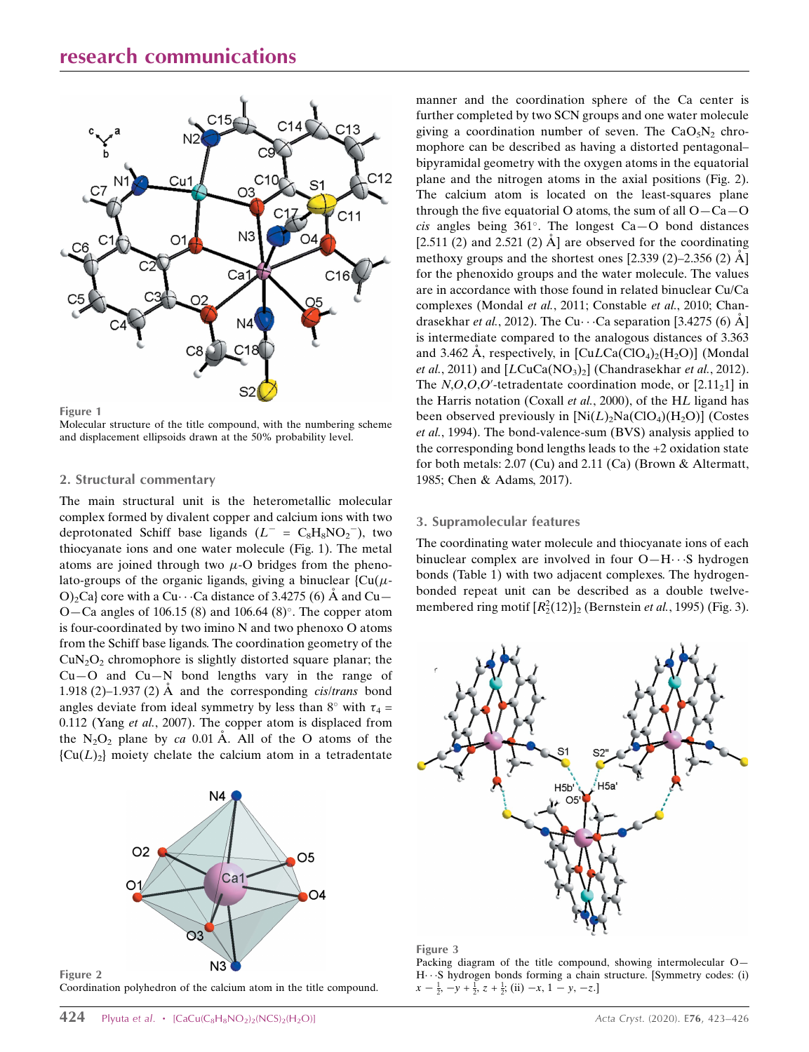## research communications



Figure 1

Figure 2

Molecular structure of the title compound, with the numbering scheme and displacement ellipsoids drawn at the 50% probability level.

#### 2. Structural commentary

The main structural unit is the heterometallic molecular complex formed by divalent copper and calcium ions with two deprotonated Schiff base ligands  $(L^- = C_8H_8NO_2^-)$ , two thiocyanate ions and one water molecule (Fig. 1). The metal atoms are joined through two  $\mu$ -O bridges from the phenolato-groups of the organic ligands, giving a binuclear  ${Cu(µ}$ -O)<sub>2</sub>Ca} core with a Cu $\cdot \cdot$  Ca distance of 3.4275 (6) Å and Cu $-$ O-Ca angles of 106.15 (8) and 106.64 (8)°. The copper atom is four-coordinated by two imino N and two phenoxo O atoms from the Schiff base ligands. The coordination geometry of the  $CuN<sub>2</sub>O<sub>2</sub>$  chromophore is slightly distorted square planar; the  $Cu-O$  and  $Cu-N$  bond lengths vary in the range of 1.918 (2)–1.937 (2)  $\AA$  and the corresponding *cis/trans* bond angles deviate from ideal symmetry by less than 8° with  $\tau_4$  = 0.112 (Yang et al., 2007). The copper atom is displaced from the  $N_2O_2$  plane by ca 0.01 Å. All of the O atoms of the  ${Cu(L)<sub>2</sub>}$  moiety chelate the calcium atom in a tetradentate



Coordination polyhedron of the calcium atom in the title compound.

manner and the coordination sphere of the Ca center is further completed by two SCN groups and one water molecule giving a coordination number of seven. The  $CaO<sub>5</sub>N<sub>2</sub>$  chromophore can be described as having a distorted pentagonal– bipyramidal geometry with the oxygen atoms in the equatorial plane and the nitrogen atoms in the axial positions (Fig. 2). The calcium atom is located on the least-squares plane through the five equatorial O atoms, the sum of all  $O - Ca - O$ cis angles being  $361^\circ$ . The longest Ca-O bond distances [2.511 (2) and 2.521 (2)  $\AA$ ] are observed for the coordinating methoxy groups and the shortest ones  $[2.339 (2) - 2.356 (2) \text{ Å}]$ for the phenoxido groups and the water molecule. The values are in accordance with those found in related binuclear Cu/Ca complexes (Mondal et al., 2011; Constable et al., 2010; Chandrasekhar et al., 2012). The Cu $\cdots$ Ca separation [3.4275 (6)  $\rm \AA$ ] is intermediate compared to the analogous distances of 3.363 and 3.462 A, respectively, in  $\left[ \text{Cu} \text{L} \text{Ca}(\text{ClO}_4)_{2}(\text{H}_2\text{O}) \right]$  (Mondal et al., 2011) and  $[LCuCa(NO<sub>3</sub>)<sub>2</sub>]$  (Chandrasekhar et al., 2012). The  $N, O, O, O'$ -tetradentate coordination mode, or  $[2.11<sub>2</sub>1]$  in the Harris notation (Coxall et al., 2000), of the HL ligand has been observed previously in  $[Ni(L)<sub>2</sub>Na(ClO<sub>4</sub>)(H<sub>2</sub>O)]$  (Costes et al., 1994). The bond-valence-sum (BVS) analysis applied to the corresponding bond lengths leads to the +2 oxidation state for both metals: 2.07 (Cu) and 2.11 (Ca) (Brown & Altermatt, 1985; Chen & Adams, 2017).

#### 3. Supramolecular features

The coordinating water molecule and thiocyanate ions of each binuclear complex are involved in four O-H···S hydrogen bonds (Table 1) with two adjacent complexes. The hydrogenbonded repeat unit can be described as a double twelvemembered ring motif  $[R_2^2(12)]_2$  (Bernstein *et al.*, 1995) (Fig. 3).



#### Figure 3

Packing diagram of the title compound, showing intermolecular O— H---S hydrogen bonds forming a chain structure. [Symmetry codes: (i)  $x - \frac{1}{2}, -y + \frac{1}{2}, z + \frac{1}{2}$ ; (ii)  $-x, 1 - y, -z$ .]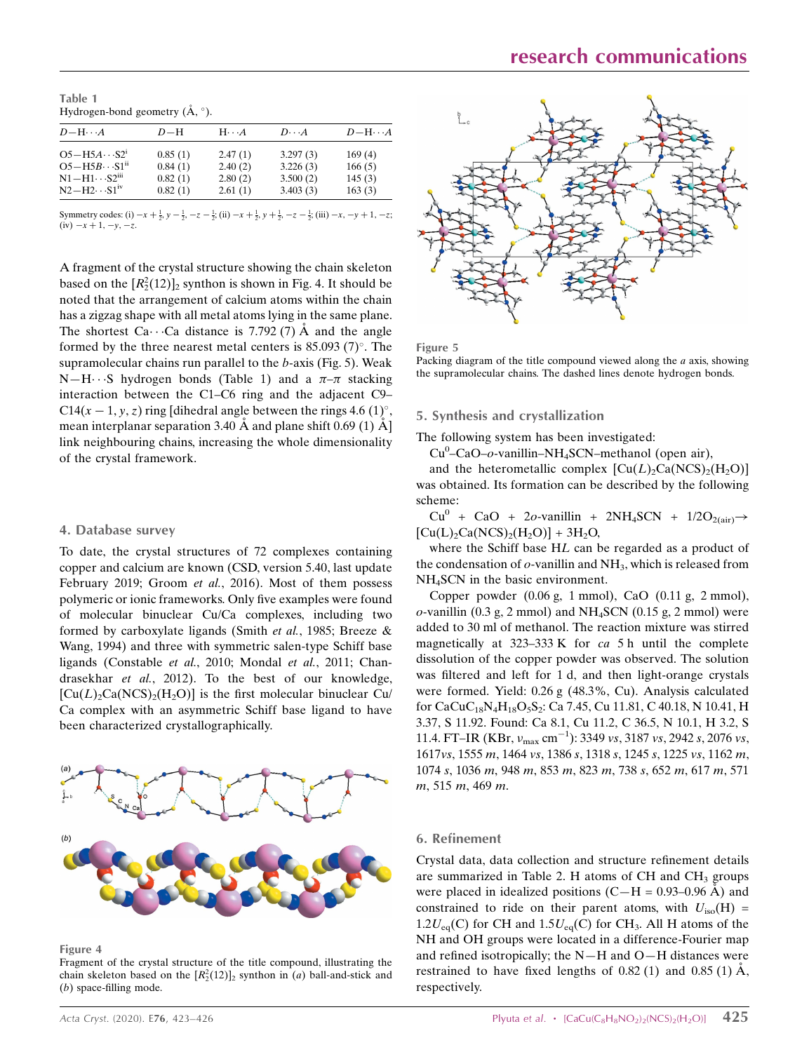Table 1 Hydrogen-bond geometry  $(\AA, \degree)$ .

| $D-H\cdots A$                                                         | $D-H$                         | $H\cdots A$                   | $D\cdot\cdot\cdot A$             | $D - H \cdots A$           |
|-----------------------------------------------------------------------|-------------------------------|-------------------------------|----------------------------------|----------------------------|
| $O5-H5A \cdot S2^1$<br>$O5 - H5B \cdot S1n$<br>$N1 - H1 \cdots S2iii$ | 0.85(1)<br>0.84(1)<br>0.82(1) | 2.47(1)<br>2.40(2)<br>2.80(2) | 3.297(3)<br>3.226(3)<br>3.500(2) | 169(4)<br>166(5)<br>145(3) |
| $N2-H2\cdots S1^{IV}$                                                 | 0.82(1)                       | 2.61(1)                       | 3.403(3)                         | 163(3)                     |

Symmetry codes: (i)  $-x + \frac{1}{2}$ ,  $y - \frac{1}{2}$ ,  $-z - \frac{1}{2}$ ; (ii)  $-x + \frac{1}{2}$ ,  $y + \frac{1}{2}$ ,  $-z - \frac{1}{2}$ ; (iii)  $-x$ ,  $-y + 1$ ,  $-z$ ;  $(iv) -x + 1, -v, -z.$ 

A fragment of the crystal structure showing the chain skeleton based on the  $[R_2^2(12)]_2$  synthon is shown in Fig. 4. It should be noted that the arrangement of calcium atoms within the chain has a zigzag shape with all metal atoms lying in the same plane. The shortest Ca $\cdots$ Ca distance is 7.792 (7) Å and the angle formed by the three nearest metal centers is  $85.093$  (7)<sup>o</sup>. The supramolecular chains run parallel to the b-axis (Fig. 5). Weak  $N-H \cdots S$  hydrogen bonds (Table 1) and a  $\pi-\pi$  stacking interaction between the C1–C6 ring and the adjacent C9– C14(x – 1, y, z) ring [dihedral angle between the rings 4.6 (1)°, mean interplanar separation 3.40  $\AA$  and plane shift 0.69 (1)  $\AA$ ] link neighbouring chains, increasing the whole dimensionality of the crystal framework.

#### 4. Database survey

To date, the crystal structures of 72 complexes containing copper and calcium are known (CSD, version 5.40, last update February 2019; Groom et al., 2016). Most of them possess polymeric or ionic frameworks. Only five examples were found of molecular binuclear Cu/Ca complexes, including two formed by carboxylate ligands (Smith et al., 1985; Breeze & Wang, 1994) and three with symmetric salen-type Schiff base ligands (Constable et al., 2010; Mondal et al., 2011; Chandrasekhar et al., 2012). To the best of our knowledge,  $[Cu(L)<sub>2</sub>Ca(NCS)<sub>2</sub>(H<sub>2</sub>O)]$  is the first molecular binuclear Cu/ Ca complex with an asymmetric Schiff base ligand to have been characterized crystallographically.



Figure 4

Fragment of the crystal structure of the title compound, illustrating the chain skeleton based on the  $[R_2^2(12)]_2$  synthon in (*a*) ball-and-stick and (b) space-filling mode.



Figure 5

Packing diagram of the title compound viewed along the  $a$  axis, showing the supramolecular chains. The dashed lines denote hydrogen bonds.

#### 5. Synthesis and crystallization

The following system has been investigated:

Cu<sup>0</sup>-CaO-o-vanillin-NH<sub>4</sub>SCN-methanol (open air),

and the heterometallic complex  $[Cu(L), Ca(NCS), (H, O)]$ was obtained. Its formation can be described by the following scheme:

 $Cu^{0}$  + CaO + 2o-vanillin + 2NH<sub>4</sub>SCN + 1/2O<sub>2(air)</sub>  $\rightarrow$  $[Cu(L), Ca(NCS), (H, O)] + 3H<sub>2</sub>O,$ 

where the Schiff base HL can be regarded as a product of the condensation of  $o$ -vanillin and  $NH<sub>3</sub>$ , which is released from NH4SCN in the basic environment.

Copper powder (0.06 g, 1 mmol), CaO (0.11 g, 2 mmol),  $o$ -vanillin (0.3 g, 2 mmol) and NH<sub>4</sub>SCN (0.15 g, 2 mmol) were added to 30 ml of methanol. The reaction mixture was stirred magnetically at  $323-333$  K for ca 5 h until the complete dissolution of the copper powder was observed. The solution was filtered and left for 1 d, and then light-orange crystals were formed. Yield: 0.26 g (48.3%, Cu). Analysis calculated for CaCuC<sub>18</sub>N<sub>4</sub>H<sub>18</sub>O<sub>5</sub>S<sub>2</sub>: Ca 7.45, Cu 11.81, C 40.18, N 10.41, H 3.37, S 11.92. Found: Ca 8.1, Cu 11.2, C 36.5, N 10.1, H 3.2, S 11.4. FT–IR (KBr,  $v_{\text{max}}$  cm<sup>-1</sup>): 3349 *vs*, 3187 *vs*, 2942 *s*, 2076 *vs*, 1617vs, 1555 m, 1464 vs, 1386 s, 1318 s, 1245 s, 1225 vs, 1162 m, 1074 s, 1036 m, 948 m, 853 m, 823 m, 738 s, 652 m, 617 m, 571 m, 515 m, 469 m.

#### 6. Refinement

Crystal data, data collection and structure refinement details are summarized in Table 2. H atoms of  $CH$  and  $CH<sub>3</sub>$  groups were placed in idealized positions  $(C-H = 0.93{\text -}0.96 \text{ Å})$  and constrained to ride on their parent atoms, with  $U_{\text{iso}}(H) =$  $1.2U_{eq}(C)$  for CH and  $1.5U_{eq}(C)$  for CH<sub>3</sub>. All H atoms of the NH and OH groups were located in a difference-Fourier map and refined isotropically; the N—H and O—H distances were restrained to have fixed lengths of  $0.82$  (1) and  $0.85$  (1)  $\AA$ , respectively.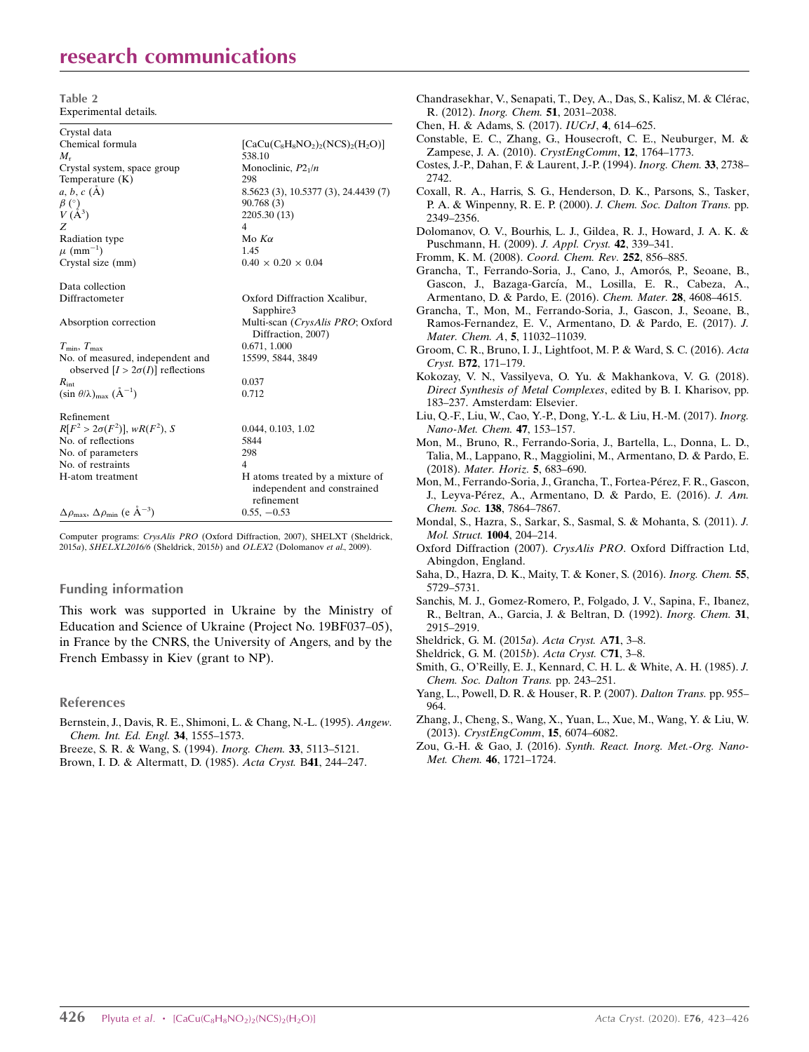## research communications

Table 2 Experimental details.

| Crystal data                                                                                   |                                                                              |
|------------------------------------------------------------------------------------------------|------------------------------------------------------------------------------|
| Chemical formula                                                                               | $[CaCu(C8H8NO2)2(NCS)2(H2O)]$                                                |
| $M_{\rm r}$                                                                                    | 538.10                                                                       |
| Crystal system, space group                                                                    | Monoclinic, $P2_1/n$                                                         |
| Temperature $(K)$                                                                              | 298                                                                          |
| $a, b, c (\AA)$                                                                                | 8.5623 (3), 10.5377 (3), 24.4439 (7)                                         |
| $\begin{array}{c} \beta \ (\overset{\circ}{)}{\vee} \\ V \ (\overset{\circ}{A}^3) \end{array}$ | 90.768 (3)                                                                   |
|                                                                                                | 2205.30 (13)                                                                 |
| Z                                                                                              | $\overline{\mathcal{L}}$                                                     |
| <b>Radiation type</b>                                                                          | Mo $K\alpha$                                                                 |
| $\mu$ (mm <sup>-1</sup> )                                                                      | 1.45                                                                         |
| Crystal size (mm)                                                                              | $0.40 \times 0.20 \times 0.04$                                               |
| Data collection                                                                                |                                                                              |
| Diffractometer                                                                                 | Oxford Diffraction Xcalibur,<br>Sapphire3                                    |
| Absorption correction                                                                          | Multi-scan (CrysAlis PRO; Oxford<br>Diffraction, 2007)                       |
| $T_{\min}, T_{\max}$                                                                           | 0.671, 1.000                                                                 |
| No. of measured, independent and<br>observed $[I > 2\sigma(I)]$ reflections                    | 15599, 5844, 3849                                                            |
| $R_{\rm int}$                                                                                  | 0.037                                                                        |
| (sin $\theta/\lambda$ ) <sub>max</sub> ( $\AA^{-1}$ )                                          | 0.712                                                                        |
| Refinement                                                                                     |                                                                              |
| $R[F^2 > 2\sigma(F^2)], wR(F^2), S$                                                            | 0.044, 0.103, 1.02                                                           |
| No. of reflections                                                                             | 5844                                                                         |
| No. of parameters                                                                              | 298                                                                          |
| No. of restraints                                                                              | 4                                                                            |
| H-atom treatment                                                                               | H atoms treated by a mixture of<br>independent and constrained<br>refinement |
| $\Delta \rho_{\text{max}}$ , $\Delta \rho_{\text{min}}$ (e $\AA^{-3}$ )                        | $0.55, -0.53$                                                                |

Computer programs: CrysAlis PRO (Oxford Diffraction, 2007), SHELXT (Sheldrick, 2015a), SHELXL2016/6 (Sheldrick, 2015b) and OLEX2 (Dolomanov et al., 2009).

#### Funding information

This work was supported in Ukraine by the Ministry of Education and Science of Ukraine (Project No. 19BF037–05), in France by the CNRS, the University of Angers, and by the French Embassy in Kiev (grant to NP).

### References

- [Bernstein, J., Davis, R. E., Shimoni, L. & Chang, N.-L. \(1995\).](http://scripts.iucr.org/cgi-bin/cr.cgi?rm=pdfbb&cnor=is5531&bbid=BB27) Angew. [Chem. Int. Ed. Engl.](http://scripts.iucr.org/cgi-bin/cr.cgi?rm=pdfbb&cnor=is5531&bbid=BB27) 34, 1555–1573.
- [Breeze, S. R. & Wang, S. \(1994\).](http://scripts.iucr.org/cgi-bin/cr.cgi?rm=pdfbb&cnor=is5531&bbid=BB1) Inorg. Chem. 33, 5113–5121.
- [Brown, I. D. & Altermatt, D. \(1985\).](http://scripts.iucr.org/cgi-bin/cr.cgi?rm=pdfbb&cnor=is5531&bbid=BB2) Acta Cryst. B41, 244–247.

| Chandrasekhar, V., Senapati, T., Dey, A., Das, S., Kalisz, M. & Clérac,<br>R. (2012). Inorg. Chem. 51, 2031-2038.                                                                                 |
|---------------------------------------------------------------------------------------------------------------------------------------------------------------------------------------------------|
| Chen, H. & Adams, S. (2017). <i>IUCrJ</i> , <b>4</b> , 614–625.                                                                                                                                   |
| Constable, E. C., Zhang, G., Housecroft, C. E., Neuburger, M. &                                                                                                                                   |
| Zampese, J. A. (2010). CrystEngComm, 12, 1764–1773.                                                                                                                                               |
| Costes, J.-P., Dahan, F. & Laurent, J.-P. (1994). Inorg. Chem. 33, 2738-<br>2742.                                                                                                                 |
| Coxall, R. A., Harris, S. G., Henderson, D. K., Parsons, S., Tasker,                                                                                                                              |
| P. A. & Winpenny, R. E. P. (2000). J. Chem. Soc. Dalton Trans. pp.<br>2349–2356.                                                                                                                  |
| Dolomanov, O. V., Bourhis, L. J., Gildea, R. J., Howard, J. A. K. &<br>Puschmann, H. (2009). J. Appl. Cryst. 42, 339-341.                                                                         |
| Fromm, K. M. (2008). Coord. Chem. Rev. 252, 856-885.                                                                                                                                              |
| Grancha, T., Ferrando-Soria, J., Cano, J., Amorós, P., Seoane, B.,<br>Gascon, J., Bazaga-García, M., Losilla, E. R., Cabeza, A.,<br>Armentano, D. & Pardo, E. (2016). Chem. Mater. 28, 4608-4615. |
| Grancha, T., Mon, M., Ferrando-Soria, J., Gascon, J., Seoane, B.,                                                                                                                                 |
| Ramos-Fernandez, E. V., Armentano, D. & Pardo, E. (2017). J.<br>Mater. Chem. A, 5, 11032-11039.                                                                                                   |
| Groom, C. R., Bruno, I. J., Lightfoot, M. P. & Ward, S. C. (2016). Acta<br>Cryst. B72, 171-179.                                                                                                   |
| Kokozay, V. N., Vassilyeva, O. Yu. & Makhankova, V. G. (2018).                                                                                                                                    |
| Direct Synthesis of Metal Complexes, edited by B. I. Kharisov, pp.<br>183-237. Amsterdam: Elsevier.                                                                                               |
| Liu, Q.-F., Liu, W., Cao, Y.-P., Dong, Y.-L. & Liu, H.-M. (2017). Inorg.                                                                                                                          |
| Nano-Met. Chem. 47, 153-157.                                                                                                                                                                      |
| Mon, M., Bruno, R., Ferrando-Soria, J., Bartella, L., Donna, L. D.,<br>Talia, M., Lappano, R., Maggiolini, M., Armentano, D. & Pardo, E.<br>(2018). Mater. Horiz. 5, 683-690.                     |
| Mon, M., Ferrando-Soria, J., Grancha, T., Fortea-Pérez, F. R., Gascon,                                                                                                                            |
| J., Leyva-Pérez, A., Armentano, D. & Pardo, E. (2016). J. Am.<br>Chem. Soc. 138, 7864-7867.                                                                                                       |
| Mondal, S., Hazra, S., Sarkar, S., Sasmal, S. & Mohanta, S. (2011). J.<br>Mol. Struct. 1004, 204-214.                                                                                             |
| Oxford Diffraction (2007). CrysAlis PRO. Oxford Diffraction Ltd,<br>Abingdon, England.                                                                                                            |
| Saha, D., Hazra, D. K., Maity, T. & Koner, S. (2016). Inorg. Chem. 55,<br>5729–5731.                                                                                                              |
| Sanchis, M. J., Gomez-Romero, P., Folgado, J. V., Sapina, F., Ibanez,<br>R., Beltran, A., Garcia, J. & Beltran, D. (1992). Inorg. Chem. 31,<br>2915–2919.                                         |
| Sheldrick, G. M. (2015a). Acta Cryst. A71, 3-8.                                                                                                                                                   |
| Sheldrick, G. M. (2015b). Acta Cryst. C71, 3-8.                                                                                                                                                   |
| Smith, G., O'Reilly, E. J., Kennard, C. H. L. & White, A. H. (1985). J.                                                                                                                           |
| Chem. Soc. Dalton Trans. pp. 243-251.                                                                                                                                                             |
| Yang, L., Powell, D. R. & Houser, R. P. (2007). Dalton Trans. pp. 955–<br>964.                                                                                                                    |
| Zhang, J., Cheng, S., Wang, X., Yuan, L., Xue, M., Wang, Y. & Liu, W.<br>(2013). CrystEngComm, 15, 6074-6082.                                                                                     |
| Zou, G.-H. & Gao, J. (2016). Synth. React. Inorg. Met.-Org. Nano-<br>Met. Chem. 46, 1721-1724.                                                                                                    |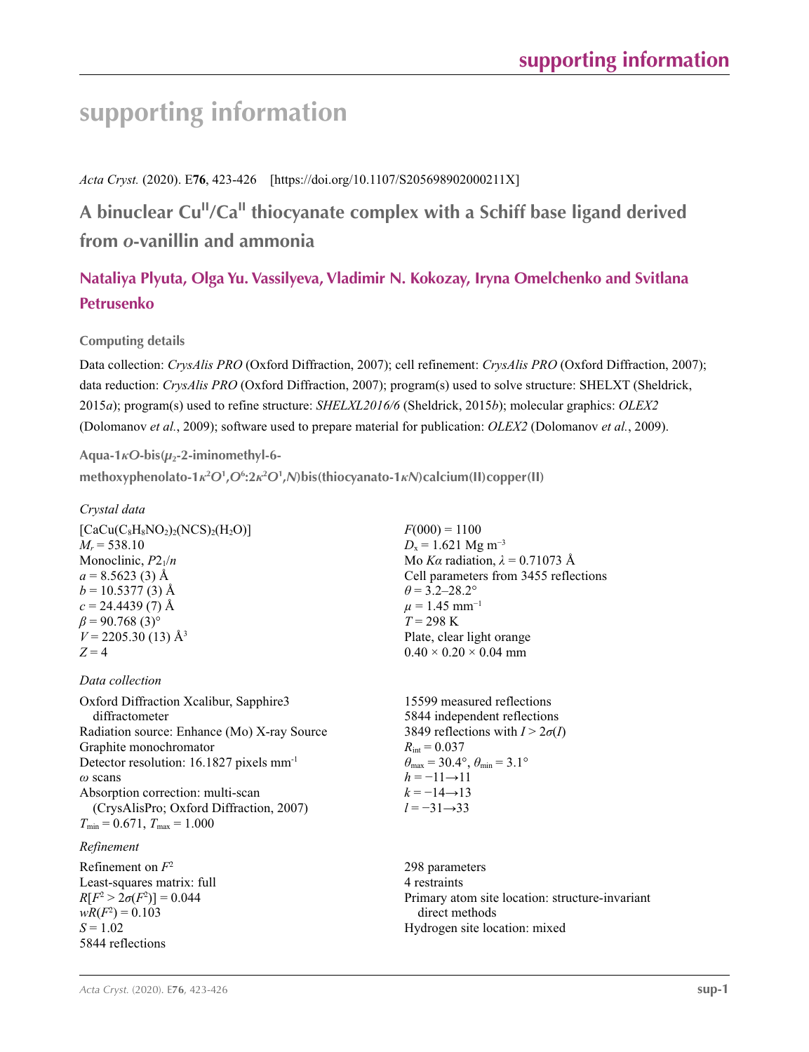# **supporting information**

## *Acta Cryst.* (2020). E**76**, 423-426 [https://doi.org/10.1107/S205698902000211X]

## **A binuclear CuII/CaII thiocyanate complex with a Schiff base ligand derived from** *o***-vanillin and ammonia**

## **Nataliya Plyuta, Olga Yu. Vassilyeva, Vladimir N. Kokozay, Iryna Omelchenko and Svitlana Petrusenko**

## **Computing details**

Data collection: *CrysAlis PRO* (Oxford Diffraction, 2007); cell refinement: *CrysAlis PRO* (Oxford Diffraction, 2007); data reduction: *CrysAlis PRO* (Oxford Diffraction, 2007); program(s) used to solve structure: SHELXT (Sheldrick, 2015*a*); program(s) used to refine structure: *SHELXL2016/6* (Sheldrick, 2015*b*); molecular graphics: *OLEX2* (Dolomanov *et al.*, 2009); software used to prepare material for publication: *OLEX2* (Dolomanov *et al.*, 2009).

## **Aqua-1***κO***-bis(***µ***2-2-iminomethyl-6-**

**methoxyphenolato-1***κ***<sup>2</sup>** *O***<sup>1</sup> ,***O***<sup>6</sup> :2***κ***<sup>2</sup>** *O***<sup>1</sup> ,***N***)bis(thiocyanato-1***κN***)calcium(II)copper(II)** 

## *Crystal data*

| $\left[CaCu(C_8H_8NO_2)_2(NCS)_2(H_2O)\right]$ |
|------------------------------------------------|
| $M_r = 538.10$                                 |
| Monoclinic, $P2_1/n$                           |
| $a = 8.5623$ (3) Å                             |
| $b = 10.5377(3)$ Å                             |
| $c = 24.4439(7)$ Å                             |
| $\beta$ = 90.768 (3) <sup>o</sup>              |
| $V = 2205.30(13)$ Å <sup>3</sup>               |
| $Z=4$                                          |
|                                                |

## *Data collection*

Oxford Diffraction Xcalibur, Sapphire3 diffractometer Radiation source: Enhance (Mo) X-ray Source Graphite monochromator Detector resolution: 16.1827 pixels mm-1 *ω* scans Absorption correction: multi-scan (CrysAlisPro; Oxford Diffraction, 2007)  $T_{\text{min}} = 0.671$ ,  $T_{\text{max}} = 1.000$ 

## *Refinement*

Refinement on *F*<sup>2</sup> Least-squares matrix: full *R*[ $F^2 > 2\sigma(F^2)$ ] = 0.044  $wR(F^2) = 0.103$  $S = 1.02$ 5844 reflections

 $F(000) = 1100$  $D_x = 1.621$  Mg m<sup>-3</sup> Mo *Kα* radiation,  $\lambda = 0.71073$  Å Cell parameters from 3455 reflections  $\theta$  = 3.2–28.2°  $\mu = 1.45$  mm<sup>-1</sup>  $T = 298 \text{ K}$ Plate, clear light orange  $0.40 \times 0.20 \times 0.04$  mm

15599 measured reflections 5844 independent reflections 3849 reflections with  $I > 2\sigma(I)$  $R_{\text{int}} = 0.037$  $\theta_{\text{max}} = 30.4^{\circ}, \theta_{\text{min}} = 3.1^{\circ}$  $h = -11 \rightarrow 11$  $k = -14 \rightarrow 13$ *l* = −31→33

298 parameters 4 restraints Primary atom site location: structure-invariant direct methods Hydrogen site location: mixed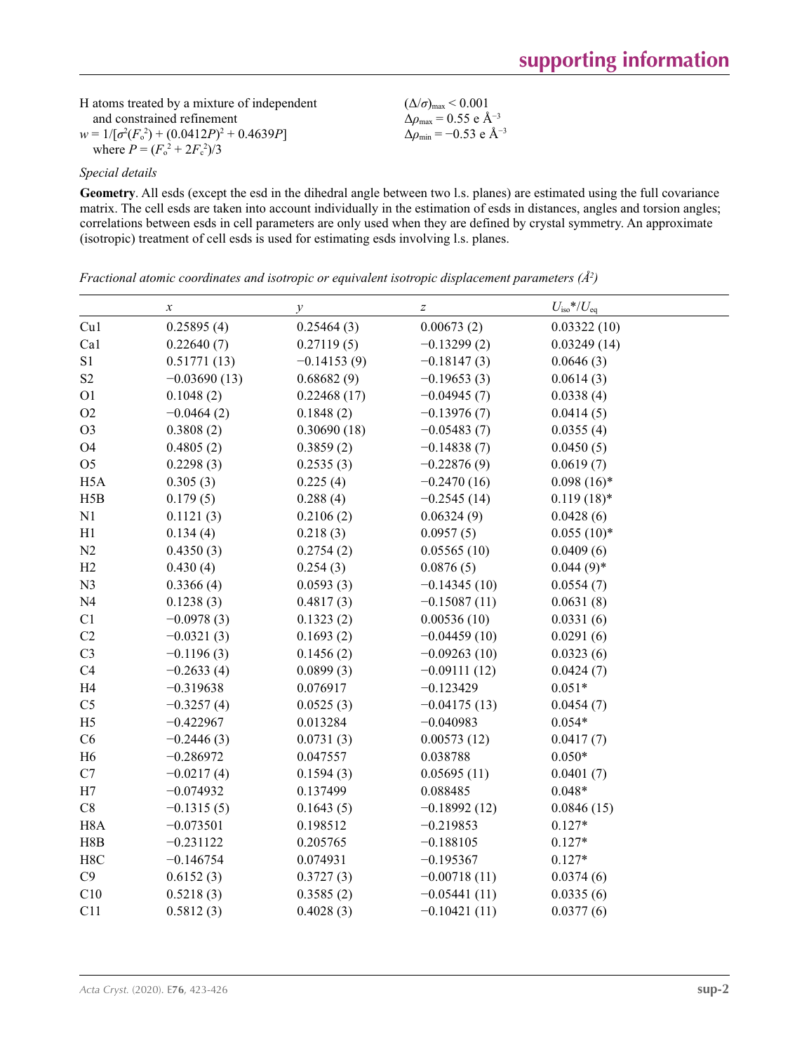| H atoms treated by a mixture of independent       | $(\Delta/\sigma)_{\text{max}}$ < 0.001           |
|---------------------------------------------------|--------------------------------------------------|
| and constrained refinement                        | $\Delta\rho_{\rm max}$ = 0.55 e Å <sup>-3</sup>  |
| $w = 1/[\sigma^2(F_0^2) + (0.0412P)^2 + 0.4639P]$ | $\Delta\rho_{\rm min} = -0.53$ e Å <sup>-3</sup> |
| where $P = (F_0^2 + 2F_c^2)/3$                    |                                                  |

#### *Special details*

**Geometry**. All esds (except the esd in the dihedral angle between two l.s. planes) are estimated using the full covariance matrix. The cell esds are taken into account individually in the estimation of esds in distances, angles and torsion angles; correlations between esds in cell parameters are only used when they are defined by crystal symmetry. An approximate (isotropic) treatment of cell esds is used for estimating esds involving l.s. planes.

*Fractional atomic coordinates and isotropic or equivalent isotropic displacement parameters (Å<sup>2</sup>)* 

|                  | $\boldsymbol{\chi}$ | у             | $\boldsymbol{Z}$ | $U_{\rm iso}{{*}/U_{\rm eq}}$ |  |
|------------------|---------------------|---------------|------------------|-------------------------------|--|
| Cu1              | 0.25895(4)          | 0.25464(3)    | 0.00673(2)       | 0.03322(10)                   |  |
| Ca1              | 0.22640(7)          | 0.27119(5)    | $-0.13299(2)$    | 0.03249(14)                   |  |
| $\rm S1$         | 0.51771(13)         | $-0.14153(9)$ | $-0.18147(3)$    | 0.0646(3)                     |  |
| S <sub>2</sub>   | $-0.03690(13)$      | 0.68682(9)    | $-0.19653(3)$    | 0.0614(3)                     |  |
| O <sub>1</sub>   | 0.1048(2)           | 0.22468(17)   | $-0.04945(7)$    | 0.0338(4)                     |  |
| O2               | $-0.0464(2)$        | 0.1848(2)     | $-0.13976(7)$    | 0.0414(5)                     |  |
| O <sub>3</sub>   | 0.3808(2)           | 0.30690(18)   | $-0.05483(7)$    | 0.0355(4)                     |  |
| O <sub>4</sub>   | 0.4805(2)           | 0.3859(2)     | $-0.14838(7)$    | 0.0450(5)                     |  |
| O <sub>5</sub>   | 0.2298(3)           | 0.2535(3)     | $-0.22876(9)$    | 0.0619(7)                     |  |
| H <sub>5</sub> A | 0.305(3)            | 0.225(4)      | $-0.2470(16)$    | $0.098(16)*$                  |  |
| H5B              | 0.179(5)            | 0.288(4)      | $-0.2545(14)$    | $0.119(18)$ *                 |  |
| N1               | 0.1121(3)           | 0.2106(2)     | 0.06324(9)       | 0.0428(6)                     |  |
| H1               | 0.134(4)            | 0.218(3)      | 0.0957(5)        | $0.055(10)*$                  |  |
| N2               | 0.4350(3)           | 0.2754(2)     | 0.05565(10)      | 0.0409(6)                     |  |
| H2               | 0.430(4)            | 0.254(3)      | 0.0876(5)        | $0.044(9)*$                   |  |
| N <sub>3</sub>   | 0.3366(4)           | 0.0593(3)     | $-0.14345(10)$   | 0.0554(7)                     |  |
| N <sub>4</sub>   | 0.1238(3)           | 0.4817(3)     | $-0.15087(11)$   | 0.0631(8)                     |  |
| C1               | $-0.0978(3)$        | 0.1323(2)     | 0.00536(10)      | 0.0331(6)                     |  |
| C2               | $-0.0321(3)$        | 0.1693(2)     | $-0.04459(10)$   | 0.0291(6)                     |  |
| C <sub>3</sub>   | $-0.1196(3)$        | 0.1456(2)     | $-0.09263(10)$   | 0.0323(6)                     |  |
| C4               | $-0.2633(4)$        | 0.0899(3)     | $-0.09111(12)$   | 0.0424(7)                     |  |
| H <sub>4</sub>   | $-0.319638$         | 0.076917      | $-0.123429$      | $0.051*$                      |  |
| C <sub>5</sub>   | $-0.3257(4)$        | 0.0525(3)     | $-0.04175(13)$   | 0.0454(7)                     |  |
| H <sub>5</sub>   | $-0.422967$         | 0.013284      | $-0.040983$      | $0.054*$                      |  |
| C6               | $-0.2446(3)$        | 0.0731(3)     | 0.00573(12)      | 0.0417(7)                     |  |
| H <sub>6</sub>   | $-0.286972$         | 0.047557      | 0.038788         | $0.050*$                      |  |
| C7               | $-0.0217(4)$        | 0.1594(3)     | 0.05695(11)      | 0.0401(7)                     |  |
| H7               | $-0.074932$         | 0.137499      | 0.088485         | $0.048*$                      |  |
| C8               | $-0.1315(5)$        | 0.1643(5)     | $-0.18992(12)$   | 0.0846(15)                    |  |
| H <sub>8</sub> A | $-0.073501$         | 0.198512      | $-0.219853$      | $0.127*$                      |  |
| H8B              | $-0.231122$         | 0.205765      | $-0.188105$      | $0.127*$                      |  |
| H8C              | $-0.146754$         | 0.074931      | $-0.195367$      | $0.127*$                      |  |
| C9               | 0.6152(3)           | 0.3727(3)     | $-0.00718(11)$   | 0.0374(6)                     |  |
| C10              | 0.5218(3)           | 0.3585(2)     | $-0.05441(11)$   | 0.0335(6)                     |  |
| C11              | 0.5812(3)           | 0.4028(3)     | $-0.10421(11)$   | 0.0377(6)                     |  |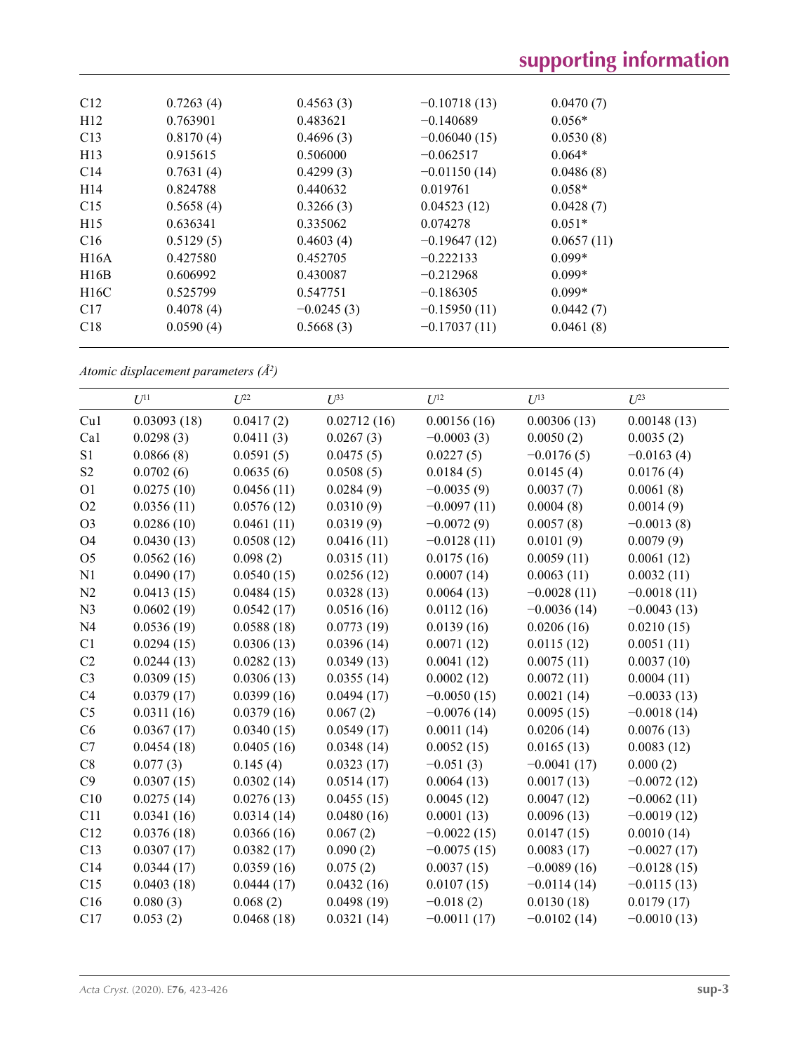| C12             | 0.7263(4) | 0.4563(3)    | $-0.10718(13)$ | 0.0470(7)  |  |
|-----------------|-----------|--------------|----------------|------------|--|
| H12             | 0.763901  | 0.483621     | $-0.140689$    | $0.056*$   |  |
| C13             | 0.8170(4) | 0.4696(3)    | $-0.06040(15)$ | 0.0530(8)  |  |
| H13             | 0.915615  | 0.506000     | $-0.062517$    | $0.064*$   |  |
| C14             | 0.7631(4) | 0.4299(3)    | $-0.01150(14)$ | 0.0486(8)  |  |
| H <sub>14</sub> | 0.824788  | 0.440632     | 0.019761       | $0.058*$   |  |
| C15             | 0.5658(4) | 0.3266(3)    | 0.04523(12)    | 0.0428(7)  |  |
| H15             | 0.636341  | 0.335062     | 0.074278       | $0.051*$   |  |
| C16             | 0.5129(5) | 0.4603(4)    | $-0.19647(12)$ | 0.0657(11) |  |
| H16A            | 0.427580  | 0.452705     | $-0.222133$    | $0.099*$   |  |
| H16B            | 0.606992  | 0.430087     | $-0.212968$    | $0.099*$   |  |
| H16C            | 0.525799  | 0.547751     | $-0.186305$    | $0.099*$   |  |
| C17             | 0.4078(4) | $-0.0245(3)$ | $-0.15950(11)$ | 0.0442(7)  |  |
| C18             | 0.0590(4) | 0.5668(3)    | $-0.17037(11)$ | 0.0461(8)  |  |
|                 |           |              |                |            |  |

*Atomic displacement parameters (Å2 )*

|                | $U^{11}$    | $U^{22}$   | $U^{33}$    | $U^{12}$      | $U^{13}$      | $U^{23}$      |
|----------------|-------------|------------|-------------|---------------|---------------|---------------|
| Cu1            | 0.03093(18) | 0.0417(2)  | 0.02712(16) | 0.00156(16)   | 0.00306(13)   | 0.00148(13)   |
| Ca1            | 0.0298(3)   | 0.0411(3)  | 0.0267(3)   | $-0.0003(3)$  | 0.0050(2)     | 0.0035(2)     |
| S1             | 0.0866(8)   | 0.0591(5)  | 0.0475(5)   | 0.0227(5)     | $-0.0176(5)$  | $-0.0163(4)$  |
| S <sub>2</sub> | 0.0702(6)   | 0.0635(6)  | 0.0508(5)   | 0.0184(5)     | 0.0145(4)     | 0.0176(4)     |
| O <sub>1</sub> | 0.0275(10)  | 0.0456(11) | 0.0284(9)   | $-0.0035(9)$  | 0.0037(7)     | 0.0061(8)     |
| O2             | 0.0356(11)  | 0.0576(12) | 0.0310(9)   | $-0.0097(11)$ | 0.0004(8)     | 0.0014(9)     |
| O <sub>3</sub> | 0.0286(10)  | 0.0461(11) | 0.0319(9)   | $-0.0072(9)$  | 0.0057(8)     | $-0.0013(8)$  |
| O <sub>4</sub> | 0.0430(13)  | 0.0508(12) | 0.0416(11)  | $-0.0128(11)$ | 0.0101(9)     | 0.0079(9)     |
| O <sub>5</sub> | 0.0562(16)  | 0.098(2)   | 0.0315(11)  | 0.0175(16)    | 0.0059(11)    | 0.0061(12)    |
| N1             | 0.0490(17)  | 0.0540(15) | 0.0256(12)  | 0.0007(14)    | 0.0063(11)    | 0.0032(11)    |
| N2             | 0.0413(15)  | 0.0484(15) | 0.0328(13)  | 0.0064(13)    | $-0.0028(11)$ | $-0.0018(11)$ |
| N <sub>3</sub> | 0.0602(19)  | 0.0542(17) | 0.0516(16)  | 0.0112(16)    | $-0.0036(14)$ | $-0.0043(13)$ |
| N <sub>4</sub> | 0.0536(19)  | 0.0588(18) | 0.0773(19)  | 0.0139(16)    | 0.0206(16)    | 0.0210(15)    |
| C1             | 0.0294(15)  | 0.0306(13) | 0.0396(14)  | 0.0071(12)    | 0.0115(12)    | 0.0051(11)    |
| C2             | 0.0244(13)  | 0.0282(13) | 0.0349(13)  | 0.0041(12)    | 0.0075(11)    | 0.0037(10)    |
| C <sub>3</sub> | 0.0309(15)  | 0.0306(13) | 0.0355(14)  | 0.0002(12)    | 0.0072(11)    | 0.0004(11)    |
| C4             | 0.0379(17)  | 0.0399(16) | 0.0494(17)  | $-0.0050(15)$ | 0.0021(14)    | $-0.0033(13)$ |
| C <sub>5</sub> | 0.0311(16)  | 0.0379(16) | 0.067(2)    | $-0.0076(14)$ | 0.0095(15)    | $-0.0018(14)$ |
| C6             | 0.0367(17)  | 0.0340(15) | 0.0549(17)  | 0.0011(14)    | 0.0206(14)    | 0.0076(13)    |
| C7             | 0.0454(18)  | 0.0405(16) | 0.0348(14)  | 0.0052(15)    | 0.0165(13)    | 0.0083(12)    |
| C8             | 0.077(3)    | 0.145(4)   | 0.0323(17)  | $-0.051(3)$   | $-0.0041(17)$ | 0.000(2)      |
| C9             | 0.0307(15)  | 0.0302(14) | 0.0514(17)  | 0.0064(13)    | 0.0017(13)    | $-0.0072(12)$ |
| C10            | 0.0275(14)  | 0.0276(13) | 0.0455(15)  | 0.0045(12)    | 0.0047(12)    | $-0.0062(11)$ |
| C11            | 0.0341(16)  | 0.0314(14) | 0.0480(16)  | 0.0001(13)    | 0.0096(13)    | $-0.0019(12)$ |
| C12            | 0.0376(18)  | 0.0366(16) | 0.067(2)    | $-0.0022(15)$ | 0.0147(15)    | 0.0010(14)    |
| C13            | 0.0307(17)  | 0.0382(17) | 0.090(2)    | $-0.0075(15)$ | 0.0083(17)    | $-0.0027(17)$ |
| C14            | 0.0344(17)  | 0.0359(16) | 0.075(2)    | 0.0037(15)    | $-0.0089(16)$ | $-0.0128(15)$ |
| C15            | 0.0403(18)  | 0.0444(17) | 0.0432(16)  | 0.0107(15)    | $-0.0114(14)$ | $-0.0115(13)$ |
| C16            | 0.080(3)    | 0.068(2)   | 0.0498(19)  | $-0.018(2)$   | 0.0130(18)    | 0.0179(17)    |
| C17            | 0.053(2)    | 0.0468(18) | 0.0321(14)  | $-0.0011(17)$ | $-0.0102(14)$ | $-0.0010(13)$ |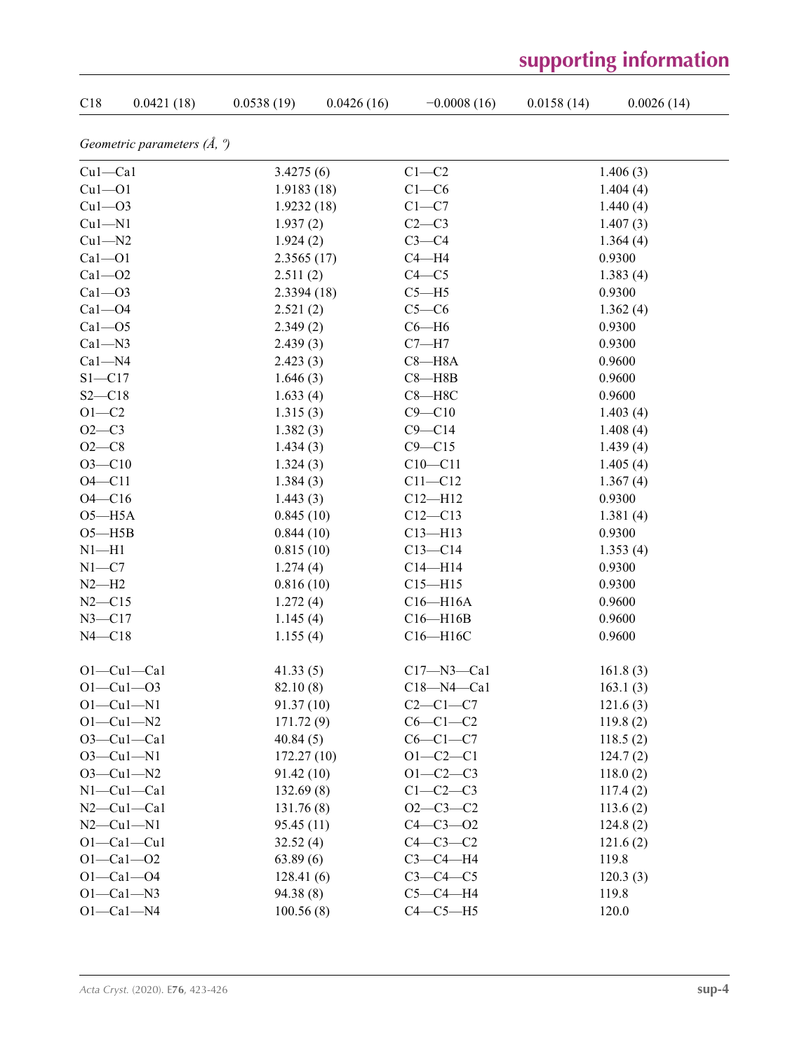## $C18$  0.0421 (18) 0.0538 (19) 0.0426 (16) −0.0008 (16) 0.0158 (14) 0.0026 (14) *Geometric parameters (Å, º)* Cu1—Ca1 3.4275 (6) C1—C2 1.406 (3) Cu1—O1 1.9183 (18) C1—C6 1.404 (4) Cu1—O3 1.9232 (18) C1—C7 1.440 (4) Cu1—N1 1.937 (2) C2—C3 1.407 (3)  $Cu1-M2$  1.924 (2)  $C3-C4$  1.364 (4) Ca1—O1 2.3565 (17) C4—H4 0.9300  $Ca1 - O2$  2.511 (2)  $C4 - C5$  1.383 (4)  $Ca1 - O3$  2.3394 (18)  $C5 - H5$  0.9300  $Ca1 - O4$  2.521 (2)  $C5 - C6$  1.362 (4)  $Ca1 - O5$  2.349 (2)  $C6 - H6$  0.9300  $Ca1-N3$  2.439 (3)  $C7-M7$  0.9300  $Ca1-M4$  2.423 (3)  $Ca3-M8A$  0.9600  $S1 - C17$  1.646 (3) C8 H8B 0.9600  $S2 - C18$  1.633 (4) C8-H8C 0.9600  $O1-C2$  1.315 (3)  $C9-C10$  1.403 (4)  $O2-C3$  1.382 (3)  $C9-C14$  1.408 (4)  $O2-C8$  1.434 (3)  $C9-C15$  1.439 (4)  $O3$ —C10 1.405 (4)  $1.324(3)$  C10—C11 1.405 (4)  $O4$ —C11 1.384 (3) C11—C12 1.367 (4)  $O4$ —C16 1.443 (3) C12—H12 0.9300 O5—H5A 0.845 (10) C12—C13 1.381 (4) O5—H5B 0.844 (10) C13—H13 0.9300 N1—H1 0.815 (10)  $C13-C14$  1.353 (4)  $N1 - C7$  1.274 (4)  $C14 - H14$  0.9300  $N2$ —H2 0.816 (10) C15—H15 0.9300 N2—C15 1.272 (4) C16—H16A 0.9600 N3—C17 1.145 (4) C16—H16B 0.9600 N4—C18 1.155 (4) C16—H16C 0.9600 O1—Cu1—Ca1 41.33 (5) C17—N3—Ca1 161.8 (3) O1—Cu1—O3 82.10 (8) C18—N4—Ca1 163.1 (3)  $O1 - Cu1 - N1$  91.37 (10)  $C2 - C1 - C7$  121.6 (3) O1—Cu1—N2 171.72 (9) C6—C1—C2 119.8 (2) O3—Cu1—Ca1 40.84 (5) C6—C1—C7 118.5 (2) O3—Cu1—N1 172.27 (10) O1—C2—C1 124.7 (2) O3—Cu1—N2 91.42 (10) O1—C2—C3 118.0 (2) N1—Cu1—Ca1 132.69 (8) C1—C2—C3 117.4 (2) N2—Cu1—Ca1 131.76 (8) 02—C3—C2 113.6 (2) N2—Cu1—N1 95.45 (11) C4—C3—O2 124.8 (2) O1—Ca1—Cu1 32.52 (4) C4—C3—C2 121.6 (2) O1—Ca1—O2 63.89 (6) C3—C4—H4 119.8 O1—Ca1—O4 128.41 (6) C3—C4—C5 120.3 (3) O1—Ca1—N3 94.38 (8) C5—C4—H4 119.8

O1—Ca1—N4 100.56 (8) C4—C5—H5 120.0

## **supporting information**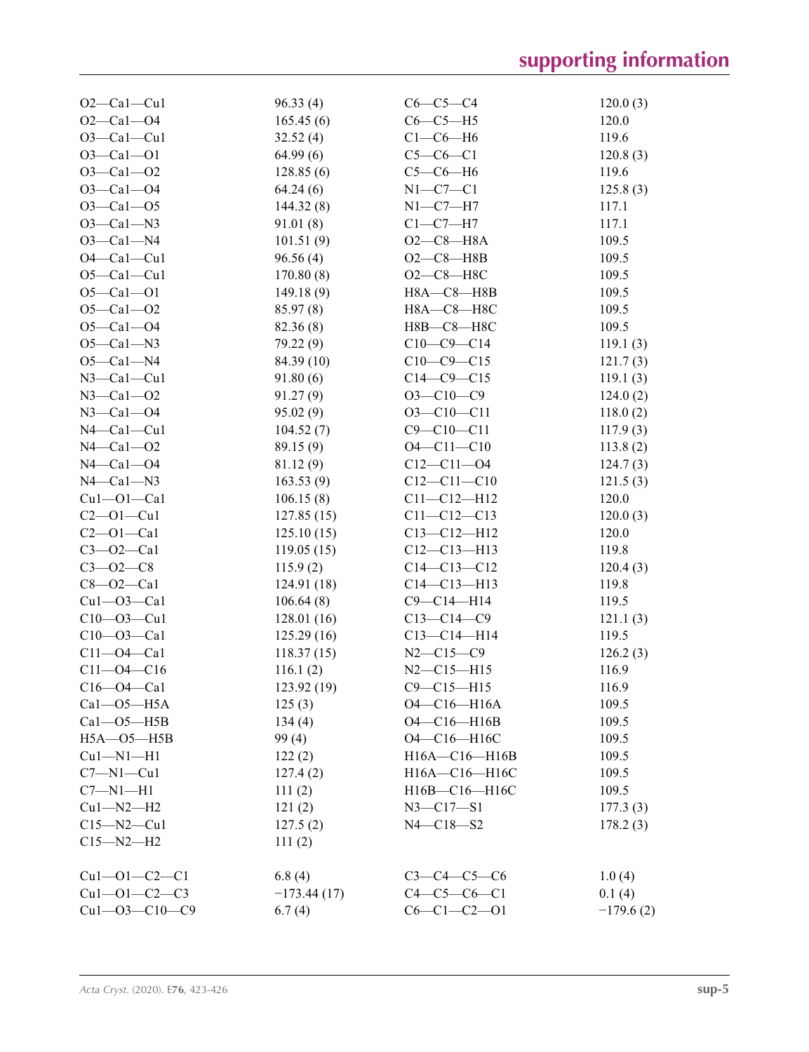| $O2-Ca1-Cu1$          | 96.33(4)              | $C6-C5-C4$          | 120.0(3)             |
|-----------------------|-----------------------|---------------------|----------------------|
| $O2 - Ca1 - O4$       | 165.45(6)             | $C6-C5-H5$          | 120.0                |
| $O3-Ca1-Cu1$          | 32.52(4)              | $C1-C6-H6$          | 119.6                |
| $O3 - Ca1 - O1$       | 64.99(6)              | $C5-C6-C1$          | 120.8(3)             |
| $O3 - Ca1 - O2$       | 128.85(6)             | $C5-C6-H6$          | 119.6                |
| $O3 - Ca1 - O4$       | 64.24(6)              | $N1-C7-C1$          | 125.8(3)             |
| $O3 - Ca1 - O5$       | 144.32(8)             | $N1-C7-H7$          | 117.1                |
| $O3-Ca1-N3$           | 91.01(8)              | $C1-C7-H7$          | 117.1                |
| $O3-Ca1-N4$           | 101.51(9)             | $O2-C8 - H8A$       | 109.5                |
| $O4 - Ca1 - Cu1$      | 96.56(4)              | $O2-C8 - H8B$       | 109.5                |
| $O5 - Ca1 - Cu1$      | 170.80(8)             | $O2-C8-H8C$         | 109.5                |
| $O5 - Ca1 - O1$       | 149.18(9)             | $H8A - C8 - H8B$    | 109.5                |
| $O5 - Ca1 - O2$       | 85.97(8)              | Н8А-С8-Н8С          | 109.5                |
| $O5 - Ca1 - O4$       | 82.36 (8)             | Н8В-С8-Н8С          | 109.5                |
| $O5-Ca1-N3$           | 79.22 (9)             | $C10-C9-C14$        | 119.1(3)             |
| $O5-Ca1-N4$           | 84.39(10)             | $C10-C9-C15$        | 121.7(3)             |
| $N3$ –Cal–Cul         | 91.80(6)              | $C14-C9-C15$        | 119.1(3)             |
| $N3 - Ca1 - O2$       | 91.27(9)              | $O3-C10-C9$         | 124.0(2)             |
| $N3 - Ca1 - O4$       | 95.02(9)              | $O3 - C10 - C11$    | 118.0(2)             |
| $N4 - Ca1 - Cu1$      |                       | $C9 - C10 - C11$    |                      |
| $N4 - Ca1 - O2$       | 104.52(7)             | $O4 - C11 - C10$    | 117.9(3)<br>113.8(2) |
| $N4 - Ca1 - O4$       | 89.15 (9)<br>81.12(9) | $C12 - C11 - 04$    | 124.7(3)             |
| $N4 - Ca1 - N3$       |                       | $C12 - C11 - C10$   |                      |
|                       | 163.53(9)             |                     | 121.5(3)             |
| $Cu1 - O1 - Ca1$      | 106.15(8)             | $C11 - C12 - H12$   | 120.0                |
| $C2 - 01 - Cu1$       | 127.85(15)            | $C11 - C12 - C13$   | 120.0(3)             |
| $C2 - O1 - Ca1$       | 125.10(15)            | $C13 - C12 - H12$   | 120.0                |
| $C3 - O2 - Ca1$       | 119.05(15)            | $C12 - C13 - H13$   | 119.8                |
| $C3 - 02 - C8$        | 115.9(2)              | $C14 - C13 - C12$   | 120.4(3)             |
| $C8 - O2 - Ca1$       | 124.91(18)            | $C14 - C13 - H13$   | 119.8                |
| $Cu1 - O3 - Ca1$      | 106.64(8)             | $C9 - C14 - H14$    | 119.5                |
| $C10 - 03 - Cu1$      | 128.01(16)            | $C13-C14-C9$        | 121.1(3)             |
| $C10 - O3 - Ca1$      | 125.29(16)            | $C13-C14-H14$       | 119.5                |
| $C11 - O4 - Ca1$      | 118.37(15)            | $N2 - C15 - C9$     | 126.2(3)             |
| $C11 - 04 - C16$      | 116.1(2)              | $N2 - C15 - H15$    | 116.9                |
| $C16 - 04 - Ca1$      | 123.92(19)            | $C9 - C15 - H15$    | 116.9                |
| $Ca1 - O5 - H5A$      | 125(3)                | O4-C16-H16A         | 109.5                |
| $Ca1 - O5 - H5B$      | 134(4)                | O4-C16-H16B         | 109.5                |
| $H5A - O5 - H5B$      | 99(4)                 | O4-C16-H16C         | 109.5                |
| $Cu1-M1-H1$           | 122(2)                | H16A-C16-H16B       | 109.5                |
| $C7 - N1 - Cu1$       | 127.4(2)              | H16A-C16-H16C       | 109.5                |
| $C7 - N1 - H1$        | 111(2)                | H16B-C16-H16C       | 109.5                |
| $Cu1 - N2 - H2$       | 121(2)                | $N3 - C17 - S1$     | 177.3(3)             |
| $C15 - N2 - Cu1$      | 127.5(2)              | $N4 - C18 - S2$     | 178.2(3)             |
| $C15 - N2 - H2$       | 111(2)                |                     |                      |
| $Cu1 - O1 - C2 - C1$  | 6.8(4)                | $C3 - C4 - C5 - C6$ | 1.0(4)               |
| $Cu1 - O1 - C2 - C3$  | $-173.44(17)$         | $C4 - C5 - C6 - C1$ | 0.1(4)               |
| $Cu1 - O3 - C10 - C9$ | 6.7(4)                | $C6 - C1 - C2 - 01$ | $-179.6(2)$          |